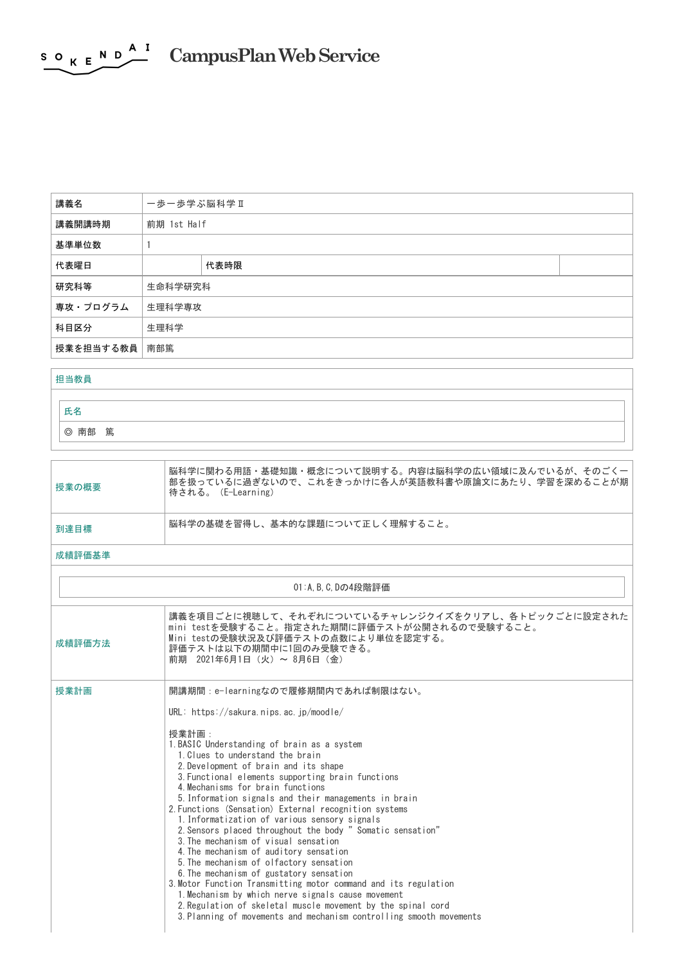## <span id="page-0-0"></span> $S \circ K E \longrightarrow A I$ **CampusPlanWebService**

| 講義名           | 一歩一歩学ぶ脳科学Ⅱ  |      |  |
|---------------|-------------|------|--|
| 講義開講時期        | 前期 1st Half |      |  |
| 基準単位数         |             |      |  |
| 代表曜日          |             | 代表時限 |  |
| 研究科等          | 生命科学研究科     |      |  |
| 専攻・プログラム      | 生理科学専攻      |      |  |
| 科目区分          | 生理科学        |      |  |
| 授業を担当する教員 南部篤 |             |      |  |

## 担当教員

氏名

◎ 南部 篤

| 授業の概要 | 脳科学に関わる用語・基礎知識・概念について説明する。内容は脳科学の広い領域に及んでいるが、そのごくー<br>部を扱っているに過ぎないので、これをきっかけに各人が英語教科書や原論文にあたり、学習を深めることが期<br>待される。(E-Learning) |
|-------|-------------------------------------------------------------------------------------------------------------------------------|
| 到達目標  | 脳科学の基礎を習得し、基本的な課題について正しく理解すること。                                                                                               |
|       |                                                                                                                               |

## 成績評価基準

| 01:A, B, C, Dの4段階評価 |                                                                                                                                                                                                                                                                                                                                                                                                                                                                                                                                                                                                                                                                                                                                                                                                                                                                                                                                                                                     |  |
|---------------------|-------------------------------------------------------------------------------------------------------------------------------------------------------------------------------------------------------------------------------------------------------------------------------------------------------------------------------------------------------------------------------------------------------------------------------------------------------------------------------------------------------------------------------------------------------------------------------------------------------------------------------------------------------------------------------------------------------------------------------------------------------------------------------------------------------------------------------------------------------------------------------------------------------------------------------------------------------------------------------------|--|
| 成績評価方法              | 講義を項目ごとに視聴して、それぞれについているチャレンジクイズをクリアし、各トピックごとに設定された<br>mini testを受験すること。指定された期間に評価テストが公開されるので受験すること。<br>Mini testの受験状況及び評価テストの点数により単位を認定する。<br>評価テストは以下の期間中に1回のみ受験できる。<br>前期 2021年6月1日(火)~ 8月6日(金)                                                                                                                                                                                                                                                                                                                                                                                                                                                                                                                                                                                                                                                                                                                                                                                   |  |
| 授業計画                | 開講期間: e-learningなので履修期間内であれば制限はない。<br>URL: https://sakura.nips.ac.jp/moodle/<br>授業計画:<br>1. BASIC Understanding of brain as a system<br>1. Clues to understand the brain<br>2. Development of brain and its shape<br>3. Functional elements supporting brain functions<br>4. Mechanisms for brain functions<br>5. Information signals and their managements in brain<br>2. Functions (Sensation) External recognition systems<br>1. Informatization of various sensory signals<br>2. Sensors placed throughout the body "Somatic sensation"<br>3. The mechanism of visual sensation<br>4. The mechanism of auditory sensation<br>5. The mechanism of olfactory sensation<br>6. The mechanism of gustatory sensation<br>3. Motor Function Transmitting motor command and its regulation<br>1. Mechanism by which nerve signals cause movement<br>2. Regulation of skeletal muscle movement by the spinal cord<br>3. Planning of movements and mechanism controlling smooth movements |  |